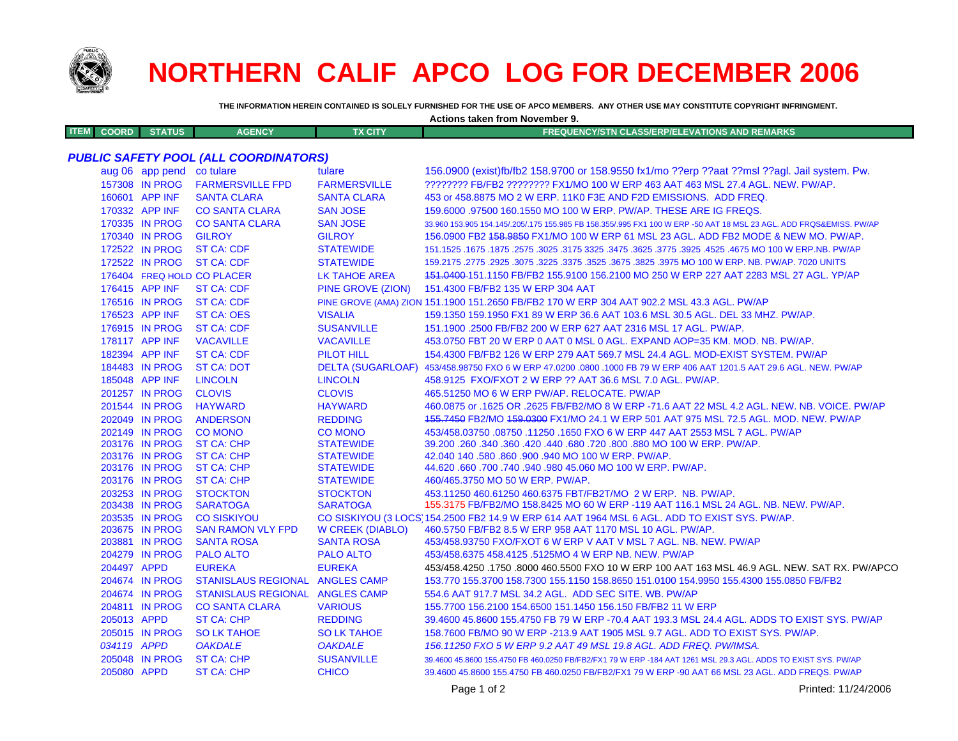

## **NORTHERN CALIF APCO LOG FOR DECEMBER 2006**

**THE INFORMATION HEREIN CONTAINED IS SOLELY FURNISHED FOR THE USE OF APCO MEMBERS. ANY OTHER USE MAY CONSTITUTE COPYRIGHT INFRINGMENT.**

| Actions taken from November 9.               |                                  |                                    |                                    |                                                                                                                                                    |  |  |  |  |
|----------------------------------------------|----------------------------------|------------------------------------|------------------------------------|----------------------------------------------------------------------------------------------------------------------------------------------------|--|--|--|--|
| <b>ITEM</b><br><b>COORD</b>                  | <b>STATUS</b>                    | <b>AGENCY</b>                      | <b>TX CITY</b>                     | FREQUENCY/STN CLASS/ERP/ELEVATIONS AND REMARKS                                                                                                     |  |  |  |  |
| <b>PUBLIC SAFETY POOL (ALL COORDINATORS)</b> |                                  |                                    |                                    |                                                                                                                                                    |  |  |  |  |
|                                              | aug 06 app pend co tulare        |                                    | tulare                             | 156.0900 (exist)fb/fb2 158.9700 or 158.9550 fx1/mo ??erp ??aat ??msl ??agl. Jail system. Pw.                                                       |  |  |  |  |
|                                              | 157308 IN PROG                   | <b>FARMERSVILLE FPD</b>            | <b>FARMERSVILLE</b>                | ???????? FB/FB2 ???????? FX1/MO 100 W ERP 463 AAT 463 MSL 27.4 AGL. NEW. PW/AP.                                                                    |  |  |  |  |
|                                              | 160601 APP INF                   | <b>SANTA CLARA</b>                 | <b>SANTA CLARA</b>                 | 453 or 458.8875 MO 2 W ERP. 11K0 F3E AND F2D EMISSIONS. ADD FREQ.                                                                                  |  |  |  |  |
|                                              | 170332 APP INF                   | <b>CO SANTA CLARA</b>              | <b>SAN JOSE</b>                    | 159,6000 .97500 160,1550 MO 100 W ERP. PW/AP. THESE ARE IG FREQS.                                                                                  |  |  |  |  |
|                                              | 170335 IN PROG                   | <b>CO SANTA CLARA</b>              | <b>SAN JOSE</b>                    | 33.960 153.905 154.145/.205/.175 155.985 FB 158.355/.995 FX1 100 W ERP -50 AAT 18 MSL 23 AGL. ADD FRQS&EMISS. PW/AP                                |  |  |  |  |
|                                              | 170340 IN PROG                   | <b>GILROY</b>                      | <b>GILROY</b>                      | 156.0900 FB2 458.9859 FX1/MO 100 W ERP 61 MSL 23 AGL. ADD FB2 MODE & NEW MO. PW/AP.                                                                |  |  |  |  |
|                                              | 172522 IN PROG                   | <b>ST CA: CDF</b>                  | <b>STATEWIDE</b>                   | 151.1525 .1675 MO 100 W ERP.NB. PW/AP .2575 .3025 .3175 3325 .3475 .3625 .3625 .3625 .1675 MO 100 W ERP.NB. PW                                     |  |  |  |  |
|                                              | 172522 IN PROG                   | <b>ST CA: CDF</b>                  | <b>STATEWIDE</b>                   | 159.2175 .2775 .2925 .3075 .3225 .3375 .3525 .3675 .3825 .3975 MO 100 W ERP. NB. PW/AP. 7020 UNITS                                                 |  |  |  |  |
|                                              |                                  | 176404 FREQ HOLD CO PLACER         | <b>LK TAHOE AREA</b>               | 151.0400-151.1150 FB/FB2 155.9100 156.2100 MO 250 W ERP 227 AAT 2283 MSL 27 AGL. YP/AP                                                             |  |  |  |  |
|                                              | 176415 APP INF                   | <b>ST CA: CDF</b>                  | <b>PINE GROVE (ZION)</b>           | 151.4300 FB/FB2 135 W ERP 304 AAT                                                                                                                  |  |  |  |  |
|                                              | 176516 IN PROG                   | <b>ST CA: CDF</b>                  |                                    | PINE GROVE (AMA) ZION 151.1900 151.2650 FB/FB2 170 W ERP 304 AAT 902.2 MSL 43.3 AGL. PW/AP                                                         |  |  |  |  |
|                                              | 176523 APP INF                   | ST CA: OES                         | <b>VISALIA</b>                     | 159.1350 159.1950 FX1 89 W ERP 36.6 AAT 103.6 MSL 30.5 AGL. DEL 33 MHZ. PW/AP.                                                                     |  |  |  |  |
|                                              | 176915 IN PROG                   | <b>ST CA: CDF</b>                  | <b>SUSANVILLE</b>                  | 151.1900.2500 FB/FB2 200 W ERP 627 AAT 2316 MSL 17 AGL. PW/AP.                                                                                     |  |  |  |  |
|                                              | 178117 APP INF                   | <b>VACAVILLE</b>                   | <b>VACAVILLE</b>                   | 453.0750 FBT 20 W ERP 0 AAT 0 MSL 0 AGL. EXPAND AOP=35 KM. MOD. NB. PW/AP.                                                                         |  |  |  |  |
|                                              | 182394 APP INF                   | <b>ST CA: CDF</b>                  | <b>PILOT HILL</b>                  | 154.4300 FB/FB2 126 W ERP 279 AAT 569.7 MSL 24.4 AGL. MOD-EXIST SYSTEM. PW/AP                                                                      |  |  |  |  |
|                                              | 184483 IN PROG                   | <b>ST CA: DOT</b>                  |                                    | DELTA (SUGARLOAF) 453/458.98750 FXO 6 W ERP 47.0200 .0800 .1000 FB 79 W ERP 406 AAT 1201.5 AAT 29.6 AGL. NEW. PW/AP                                |  |  |  |  |
|                                              | 185048 APP INF                   | <b>LINCOLN</b>                     | <b>LINCOLN</b>                     | 458.9125 FXO/FXOT 2 W ERP ?? AAT 36.6 MSL 7.0 AGL. PW/AP.                                                                                          |  |  |  |  |
|                                              | 201257 IN PROG                   | <b>CLOVIS</b>                      | <b>CLOVIS</b>                      | 465.51250 MO 6 W ERP PW/AP. RELOCATE. PW/AP                                                                                                        |  |  |  |  |
|                                              | 201544 IN PROG                   | <b>HAYWARD</b>                     | <b>HAYWARD</b>                     | 460.0875 or .1625 OR .2625 FB/FB2/MO 8 W ERP -71.6 AAT 22 MSL 4.2 AGL. NEW. NB. VOICE. PW/AP                                                       |  |  |  |  |
|                                              | 202049 IN PROG                   | <b>ANDERSON</b>                    | <b>REDDING</b>                     | 155.7450 FB2/MO 159.0300 FX1/MO 24.1 W ERP 501 AAT 975 MSL 72.5 AGL. MOD. NEW. PW/AP                                                               |  |  |  |  |
|                                              | 202149 IN PROG                   | <b>CO MONO</b>                     | <b>CO MONO</b>                     | 453/458.03750.08750.11250.1650 FXO 6 W ERP 447 AAT 2553 MSL 7 AGL. PW/AP                                                                           |  |  |  |  |
|                                              | 203176 IN PROG                   | <b>ST CA: CHP</b>                  | <b>STATEWIDE</b>                   | 39.200 .260 .340 .360 .420 .440 .680 .720 .800 .880 MO 100 W ERP. PW/AP.                                                                           |  |  |  |  |
|                                              | 203176 IN PROG                   | <b>ST CA: CHP</b>                  | <b>STATEWIDE</b>                   | 42.040 140 .580 .860 .900 .940 MO 100 W ERP. PW/AP.                                                                                                |  |  |  |  |
|                                              | 203176 IN PROG                   | ST CA: CHP                         | <b>STATEWIDE</b>                   | 44.620 .660 .700 .740 .940 .980 45.060 MO 100 W ERP. PW/AP.                                                                                        |  |  |  |  |
|                                              | 203176 IN PROG                   | <b>ST CA: CHP</b>                  | <b>STATEWIDE</b>                   | 460/465.3750 MO 50 W ERP. PW/AP.                                                                                                                   |  |  |  |  |
|                                              | 203253 IN PROG<br>203438 IN PROG | <b>STOCKTON</b><br><b>SARATOGA</b> | <b>STOCKTON</b><br><b>SARATOGA</b> | 453.11250 460.61250 460.6375 FBT/FB2T/MO 2 W ERP. NB. PW/AP.<br>155.3175 FB/FB2/MO 158.8425 MO 60 W ERP -119 AAT 116.1 MSL 24 AGL. NB. NEW. PW/AP. |  |  |  |  |
|                                              | 203535 IN PROG                   | <b>CO SISKIYOU</b>                 |                                    | CO SISKIYOU (3 LOCS) 154.2500 FB2 14.9 W ERP 614 AAT 1964 MSL 6 AGL. ADD TO EXIST SYS. PW/AP.                                                      |  |  |  |  |
|                                              | 203675 IN PROG                   | <b>SAN RAMON VLY FPD</b>           | W CREEK (DIABLO)                   | 460.5750 FB/FB2 8.5 W ERP 958 AAT 1170 MSL 10 AGL. PW/AP.                                                                                          |  |  |  |  |
|                                              | 203881 IN PROG                   | <b>SANTA ROSA</b>                  | <b>SANTA ROSA</b>                  | 453/458.93750 FXO/FXOT 6 W ERP V AAT V MSL 7 AGL. NB. NEW. PW/AP                                                                                   |  |  |  |  |
|                                              | 204279 IN PROG                   | <b>PALO ALTO</b>                   | <b>PALO ALTO</b>                   | 453/458.6375 458.4125 .5125MO 4 W ERP NB. NEW. PW/AP                                                                                               |  |  |  |  |
| 204497 APPD                                  |                                  | <b>EUREKA</b>                      | <b>EUREKA</b>                      | 453/458.4250 .1750 .8000 460.5500 FXO 10 W ERP 100 AAT 163 MSL 46.9 AGL. NEW. SAT RX. PW/APCO                                                      |  |  |  |  |
|                                              | 204674 IN PROG                   | STANISLAUS REGIONAL ANGLES CAMP    |                                    | 153.770 155.3700 158.7300 155.1150 158.8650 151.0100 154.9950 155.4300 155.0850 FB/FB2                                                             |  |  |  |  |
|                                              | 204674 IN PROG                   | STANISLAUS REGIONAL ANGLES CAMP    |                                    | 554.6 AAT 917.7 MSL 34.2 AGL. ADD SEC SITE. WB. PW/AP                                                                                              |  |  |  |  |
|                                              | 204811 IN PROG                   | <b>CO SANTA CLARA</b>              | <b>VARIOUS</b>                     | 155,7700 156,2100 154,6500 151,1450 156,150 FB/FB2 11 W ERP                                                                                        |  |  |  |  |
| 205013 APPD                                  |                                  | <b>ST CA: CHP</b>                  | <b>REDDING</b>                     | 39,4600 45,8600 155,4750 FB 79 W ERP -70,4 AAT 193,3 MSL 24,4 AGL, ADDS TO EXIST SYS, PW/AP                                                        |  |  |  |  |
|                                              | 205015 IN PROG                   | <b>SO LK TAHOE</b>                 | <b>SO LK TAHOE</b>                 | 158.7600 FB/MO 90 W ERP -213.9 AAT 1905 MSL 9.7 AGL. ADD TO EXIST SYS. PW/AP.                                                                      |  |  |  |  |
| 034119 APPD                                  |                                  | <b>OAKDALE</b>                     | <b>OAKDALE</b>                     | 156.11250 FXO 5 W ERP 9.2 AAT 49 MSL 19.8 AGL. ADD FREQ. PW/IMSA.                                                                                  |  |  |  |  |
|                                              | 205048 IN PROG                   | ST CA: CHP                         | <b>SUSANVILLE</b>                  | 39.4600 45.8600 155.4750 FB 460.0250 FB/FB2/FX1 79 W ERP -184 AAT 1261 MSL 29.3 AGL. ADDS TO EXIST SYS. PW/AP                                      |  |  |  |  |
| 205080 APPD                                  |                                  | <b>ST CA: CHP</b>                  | <b>CHICO</b>                       | 39.4600 45.8600 155.4750 FB 460.0250 FB/FB2/FX1 79 W ERP -90 AAT 66 MSL 23 AGL. ADD FREQS. PW/AP                                                   |  |  |  |  |